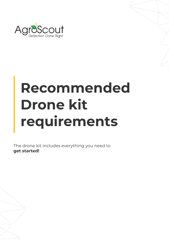

# **Recommended Drone kit requirements**

The drone kit includes everything you need to **get started!**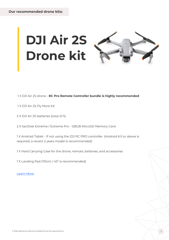

## **DJI Air 2S Drone kit**



1 X DJI Air 2S drone - **RC Pro Remote Controller bundle is highly recommended**

**Our recommended drone kits:**

1 X DJI Air 2S Fly More Kit

1 X Android Tablet - If not using the DJI RC PRO controller. (Android 6.0 or above is required, a recent 2 years model is recommended)

2 X DJI Air 2S batteries (total of 5)

2 X SanDisk Extreme / Extreme Pro - 128GB MicroSD Memory Card

1 X Hard Carrying Case for the drone, remote, batteries, and accessories

1 X Landing Pad (110cm / 43" is recommended)

[Learn](https://www.dji.com/air-2s?site=brandsite&from=nav) More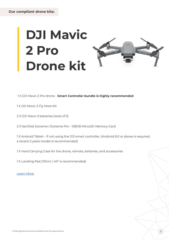### **DJI Mavic 2 Pro Drone kit**



1 X DJI Mavic 2 Pro drone - **Smart Controller bundle is highly recommended**

1 X DJI Mavic 2 Fly More Kit

**Our compliant drone kits:**

2 X DJI Mavic 2 batteries (total of 5)

2 X SanDisk Extreme / Extreme Pro - 128GB MicroSD Memory Card

1 X Android Tablet - If not using the DJI smart controller. (Android 6.0 or above is required, a recent 2 years model is recommended)

1 X Hard Carrying Case for the drone, remote, batteries, and accessories

1 X Landing Pad (110cm / 43" is recommended)

[Learn](https://www.dji.com/mavic-2?site=brandsite&from=recommended) More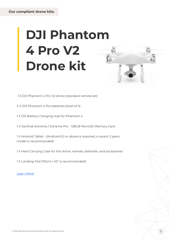### **DJI Phantom 4 Pro V2 Drone kit**

1 X DJI Phantom 4 Pro V2 drone (standard remote kit)

4 X DJI Phantom 4 Pro batteries (total of 5)

1 X DJI Battery Charging Hub for Phantom 4

1 X SanDisk Extreme / Extreme Pro - 128GB MicroSD Memory Card

1 X Android Tablet - (Android 6.0 or above is required, a recent 2 years model is recommended)

1 X Hard Carrying Case for the drone, remote, batteries, and accessories

1 X Landing Pad (110cm / 43" is recommended)

[Learn](https://www.dji.com/phantom-4-pro-v2?site=brandsite&from=nav) More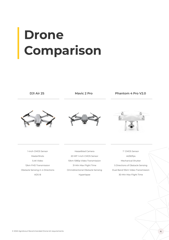### **Drone Comparison**

1-inch CMOS Sensor

MasterShots

5.4K Video

12km FHD Transmission

Obstacle Sensing in 4 Directions

ADS-B

Hasselblad Camera

20 MP 1-inch CMOS Sensor

10km 1080p Video Transmission

31-Min Max Flight Time



Omnidirectional Obstacle Sensing

Hyperlapse

1'' CMOS Sensor 4K/60fps Mechanical Shutter 5 Directions of Obstacle Sensing Dual Band 10km Video Transmission 30-Min Max Flight Time